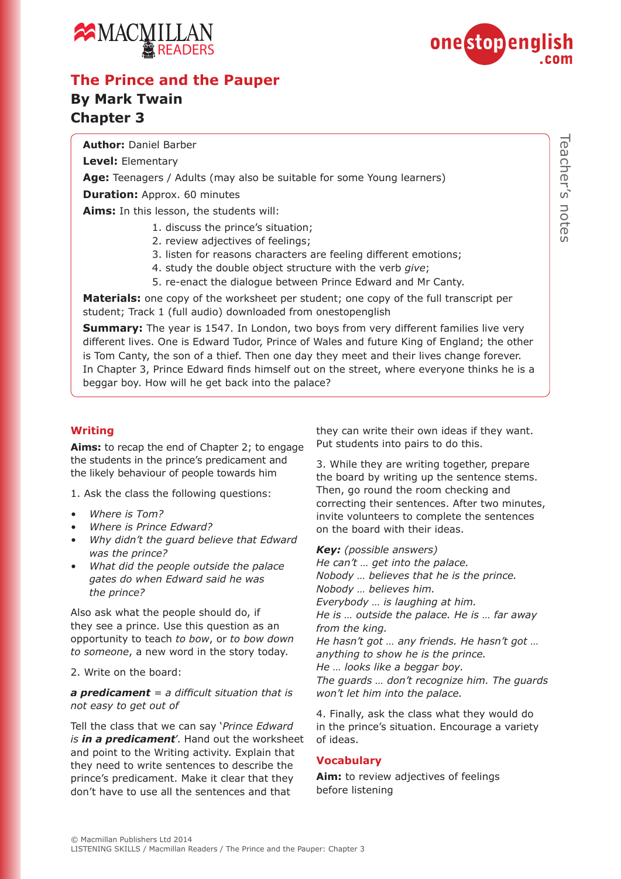



## **The Prince and the Pauper**

## **By Mark Twain Chapter 3**

**Author:** Daniel Barber

**Level:** Elementary

**Age:** Teenagers / Adults (may also be suitable for some Young learners)

**Duration:** Approx. 60 minutes

**Aims:** In this lesson, the students will:

- 1. discuss the prince's situation;
- 2. review adjectives of feelings;
- 3. listen for reasons characters are feeling different emotions;
- 4. study the double object structure with the verb *give*;
- 5. re-enact the dialogue between Prince Edward and Mr Canty.

**Materials:** one copy of the worksheet per student; one copy of the full transcript per student; Track 1 (full audio) downloaded from onestopenglish

**Summary:** The year is 1547. In London, two boys from very different families live very different lives. One is Edward Tudor, Prince of Wales and future King of England; the other is Tom Canty, the son of a thief. Then one day they meet and their lives change forever. In Chapter 3, Prince Edward finds himself out on the street, where everyone thinks he is a beggar boy. How will he get back into the palace?

#### **Writing**

**Aims:** to recap the end of Chapter 2; to engage the students in the prince's predicament and the likely behaviour of people towards him

1. Ask the class the following questions:

- *• Where is Tom?*
- *• Where is Prince Edward?*
- *• Why didn't the guard believe that Edward was the prince?*
- *• What did the people outside the palace gates do when Edward said he was the prince?*

Also ask what the people should do, if they see a prince. Use this question as an opportunity to teach *to bow*, or *to bow down to someone*, a new word in the story today.

2. Write on the board:

*a predicament = a difficult situation that is not easy to get out of*

Tell the class that we can say '*Prince Edward is in a predicament*'. Hand out the worksheet and point to the Writing activity. Explain that they need to write sentences to describe the prince's predicament. Make it clear that they don't have to use all the sentences and that

they can write their own ideas if they want. Put students into pairs to do this.

3. While they are writing together, prepare the board by writing up the sentence stems. Then, go round the room checking and correcting their sentences. After two minutes, invite volunteers to complete the sentences on the board with their ideas.

*Key: (possible answers)*

*He can't … get into the palace. Nobody … believes that he is the prince. Nobody … believes him. Everybody … is laughing at him. He is … outside the palace. He is … far away from the king. He hasn't got … any friends. He hasn't got … anything to show he is the prince. He … looks like a beggar boy. The guards … don't recognize him. The guards won't let him into the palace.*

4. Finally, ask the class what they would do in the prince's situation. Encourage a variety of ideas.

#### **Vocabulary**

**Aim:** to review adjectives of feelings before listening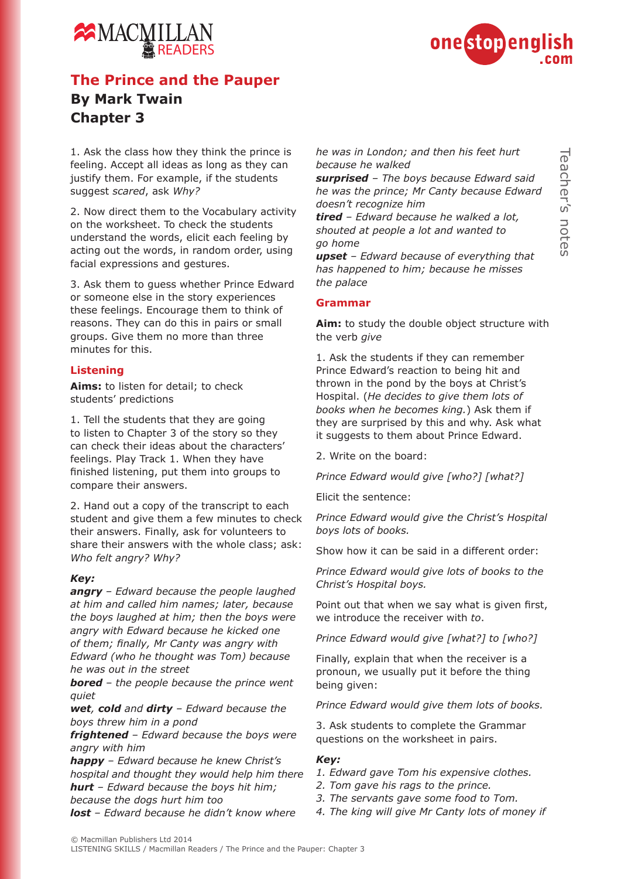

# MACMILLA READERS

# **The Prince and the Pauper By Mark Twain Chapter 3**

1. Ask the class how they think the prince is feeling. Accept all ideas as long as they can justify them. For example, if the students suggest *scared*, ask *Why?*

2. Now direct them to the Vocabulary activity on the worksheet. To check the students understand the words, elicit each feeling by acting out the words, in random order, using facial expressions and gestures.

3. Ask them to guess whether Prince Edward or someone else in the story experiences these feelings. Encourage them to think of reasons. They can do this in pairs or small groups. Give them no more than three minutes for this.

#### **Listening**

**Aims:** to listen for detail; to check students' predictions

1. Tell the students that they are going to listen to Chapter 3 of the story so they can check their ideas about the characters' feelings. Play Track 1. When they have finished listening, put them into groups to compare their answers.

2. Hand out a copy of the transcript to each student and give them a few minutes to check their answers. Finally, ask for volunteers to share their answers with the whole class; ask: *Who felt angry? Why?*

#### *Key:*

*angry – Edward because the people laughed at him and called him names; later, because the boys laughed at him; then the boys were angry with Edward because he kicked one of them; finally, Mr Canty was angry with Edward (who he thought was Tom) because he was out in the street*

*bored – the people because the prince went quiet*

*wet, cold and dirty – Edward because the boys threw him in a pond*

*frightened – Edward because the boys were angry with him*

*happy – Edward because he knew Christ's hospital and thought they would help him there hurt – Edward because the boys hit him; because the dogs hurt him too*

*lost – Edward because he didn't know where* 

*he was in London; and then his feet hurt because he walked* 

*surprised – The boys because Edward said he was the prince; Mr Canty because Edward doesn't recognize him*

*tired – Edward because he walked a lot, shouted at people a lot and wanted to go home*

*upset – Edward because of everything that has happened to him; because he misses the palace*

#### **Grammar**

**Aim:** to study the double object structure with the verb *give*

1. Ask the students if they can remember Prince Edward's reaction to being hit and thrown in the pond by the boys at Christ's Hospital. (*He decides to give them lots of books when he becomes king.*) Ask them if they are surprised by this and why. Ask what it suggests to them about Prince Edward.

2. Write on the board:

*Prince Edward would give [who?] [what?]*

Elicit the sentence:

*Prince Edward would give the Christ's Hospital boys lots of books.*

Show how it can be said in a different order:

*Prince Edward would give lots of books to the Christ's Hospital boys.*

Point out that when we say what is given first, we introduce the receiver with *to*.

*Prince Edward would give [what?] to [who?]* 

Finally, explain that when the receiver is a pronoun, we usually put it before the thing being given:

*Prince Edward would give them lots of books.* 

3. Ask students to complete the Grammar questions on the worksheet in pairs.

#### *Key:*

- *1. Edward gave Tom his expensive clothes.*
- *2. Tom gave his rags to the prince.*
- *3. The servants gave some food to Tom.*
- *4. The king will give Mr Canty lots of money if*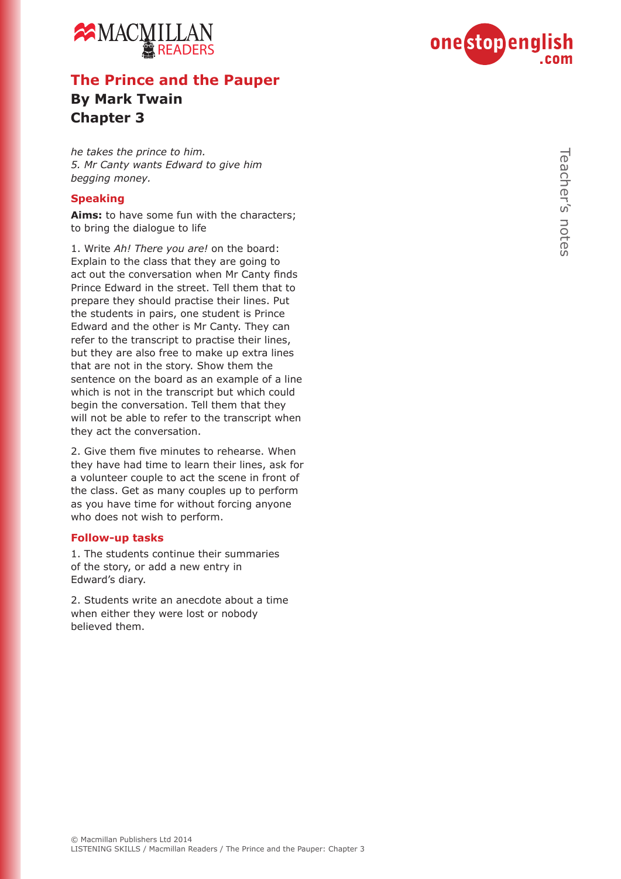



# **The Prince and the Pauper**

## **By Mark Twain Chapter 3**

*he takes the prince to him. 5. Mr Canty wants Edward to give him begging money.*

#### **Speaking**

**Aims:** to have some fun with the characters; to bring the dialogue to life

1. Write *Ah! There you are!* on the board: Explain to the class that they are going to act out the conversation when Mr Canty finds Prince Edward in the street. Tell them that to prepare they should practise their lines. Put the students in pairs, one student is Prince Edward and the other is Mr Canty. They can refer to the transcript to practise their lines, but they are also free to make up extra lines that are not in the story. Show them the sentence on the board as an example of a line which is not in the transcript but which could begin the conversation. Tell them that they will not be able to refer to the transcript when they act the conversation.

2. Give them five minutes to rehearse. When they have had time to learn their lines, ask for a volunteer couple to act the scene in front of the class. Get as many couples up to perform as you have time for without forcing anyone who does not wish to perform.

#### **Follow-up tasks**

1. The students continue their summaries of the story, or add a new entry in Edward's diary.

2. Students write an anecdote about a time when either they were lost or nobody believed them.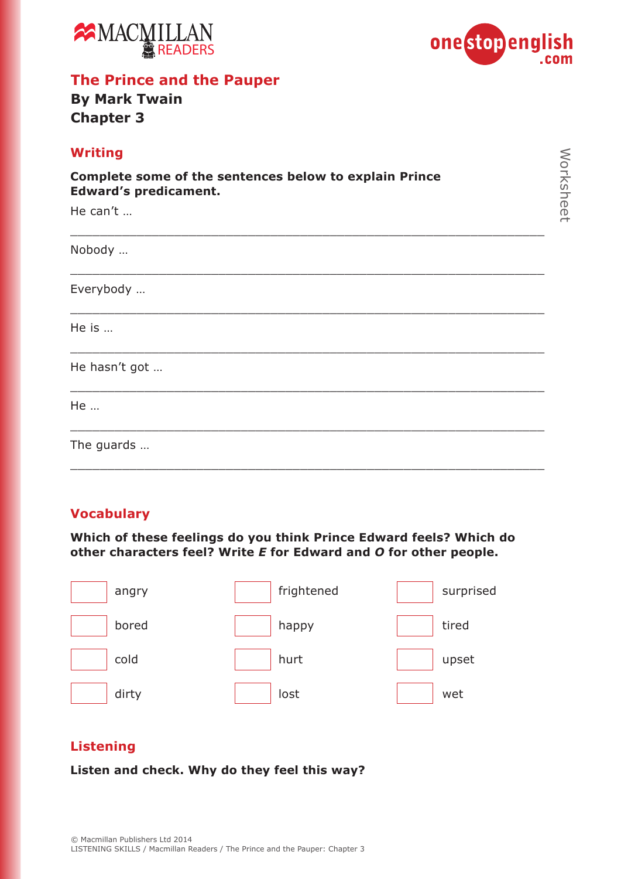



# **The Prince and the Pauper**

## **By Mark Twain Chapter 3**

## **Vocabulary**

**Which of these feelings do you think Prince Edward feels? Which do other characters feel? Write** *E* **for Edward and** *O* **for other people.**

| angry | frightened | surprised |
|-------|------------|-----------|
| bored | happy      | tired     |
| cold  | hurt       | upset     |
| dirty | lost       | wet       |

## **Listening**

**Listen and check. Why do they feel this way?**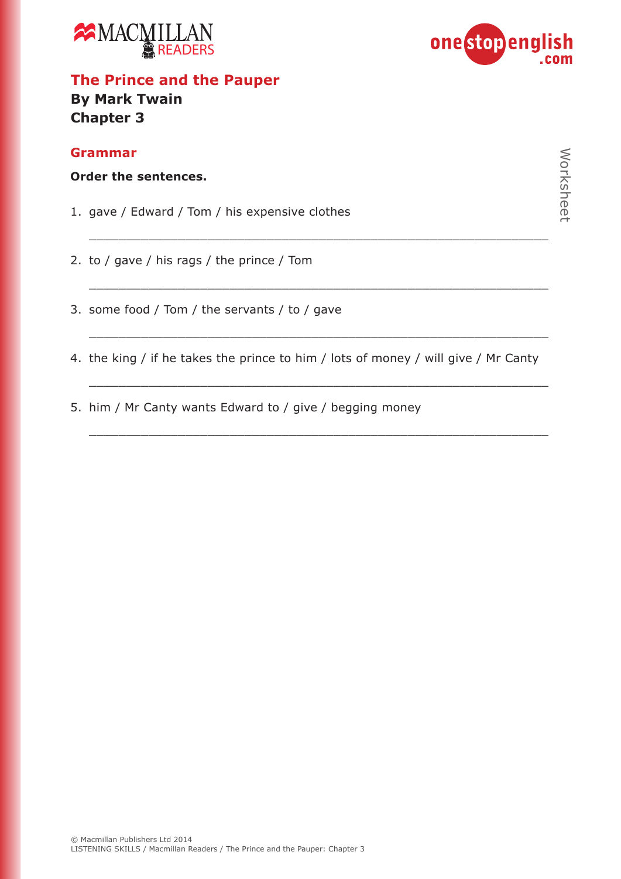



## **The Prince and the Pauper By Mark Twain Chapter 3**

### **Grammar**

|  |  | Order the sentences. |  |
|--|--|----------------------|--|
|--|--|----------------------|--|

- 1. gave / Edward / Tom / his expensive clothes
- 2. to / gave / his rags / the prince / Tom
- 3. some food / Tom / the servants / to / gave
- 4. the king / if he takes the prince to him / lots of money / will give / Mr Canty

\_\_\_\_\_\_\_\_\_\_\_\_\_\_\_\_\_\_\_\_\_\_\_\_\_\_\_\_\_\_\_\_\_\_\_\_\_\_\_\_\_\_\_\_\_\_\_\_\_\_\_\_\_\_\_\_\_\_\_\_\_\_

\_\_\_\_\_\_\_\_\_\_\_\_\_\_\_\_\_\_\_\_\_\_\_\_\_\_\_\_\_\_\_\_\_\_\_\_\_\_\_\_\_\_\_\_\_\_\_\_\_\_\_\_\_\_\_\_\_\_\_\_\_\_

\_\_\_\_\_\_\_\_\_\_\_\_\_\_\_\_\_\_\_\_\_\_\_\_\_\_\_\_\_\_\_\_\_\_\_\_\_\_\_\_\_\_\_\_\_\_\_\_\_\_\_\_\_\_\_\_\_\_\_\_\_\_

\_\_\_\_\_\_\_\_\_\_\_\_\_\_\_\_\_\_\_\_\_\_\_\_\_\_\_\_\_\_\_\_\_\_\_\_\_\_\_\_\_\_\_\_\_\_\_\_\_\_\_\_\_\_\_\_\_\_\_\_\_\_

\_\_\_\_\_\_\_\_\_\_\_\_\_\_\_\_\_\_\_\_\_\_\_\_\_\_\_\_\_\_\_\_\_\_\_\_\_\_\_\_\_\_\_\_\_\_\_\_\_\_\_\_\_\_\_\_\_\_\_\_\_\_

5. him / Mr Canty wants Edward to / give / begging money